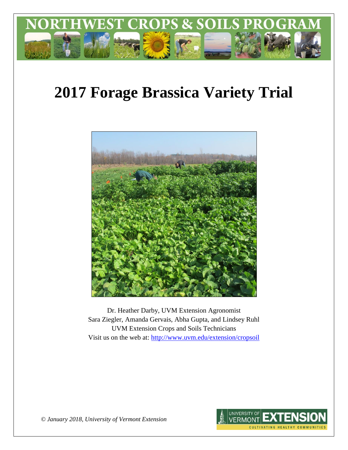

# **2017 Forage Brassica Variety Trial**



Dr. Heather Darby, UVM Extension Agronomist Sara Ziegler, Amanda Gervais, Abha Gupta, and Lindsey Ruhl UVM Extension Crops and Soils Technicians Visit us on the web at:<http://www.uvm.edu/extension/cropsoil>



*© January 2018, University of Vermont Extension*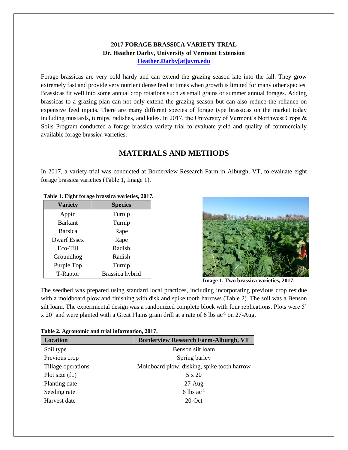#### **2017 FORAGE BRASSICA VARIETY TRIAL Dr. Heather Darby, University of Vermont Extension [Heather.Darby\[at\]uvm.edu](mailto:heather.darby@uvm.edu?subject=2012%20Forage%20Brassica%20Report)**

Forage brassicas are very cold hardy and can extend the grazing season late into the fall. They grow extremely fast and provide very nutrient dense feed at times when growth is limited for many other species. Brassicas fit well into some annual crop rotations such as small grains or summer annual forages. Adding brassicas to a grazing plan can not only extend the grazing season but can also reduce the reliance on expensive feed inputs. There are many different species of forage type brassicas on the market today including mustards, turnips, radishes, and kales. In 2017, the University of Vermont's Northwest Crops & Soils Program conducted a forage brassica variety trial to evaluate yield and quality of commercially available forage brassica varieties.

## **MATERIALS AND METHODS**

In 2017, a variety trial was conducted at Borderview Research Farm in Alburgh, VT, to evaluate eight forage brassica varieties (Table 1, Image 1).

| <b>Variety</b>     | <b>Species</b>  |
|--------------------|-----------------|
| Appin              | Turnip          |
| <b>Barkant</b>     | Turnip          |
| <b>Barsica</b>     | Rape            |
| <b>Dwarf Essex</b> | Rape            |
| Eco-Till           | Radish          |
| Groundhog          | Radish          |
| Purple Top         | Turnip          |
| T-Raptor           | Brassica hybrid |

**Table 1. Eight forage brassica varieties, 2017.**



**Image 1. Two brassica varieties, 2017.**

The seedbed was prepared using standard local practices, including incorporating previous crop residue with a moldboard plow and finishing with disk and spike tooth harrows (Table 2). The soil was a Benson silt loam. The experimental design was a randomized complete block with four replications. Plots were 5'  $x 20'$  and were planted with a Great Plains grain drill at a rate of 6 lbs ac<sup>-1</sup> on 27-Aug.

| <b>Location</b>    | <b>Borderview Research Farm-Alburgh, VT</b> |  |  |  |
|--------------------|---------------------------------------------|--|--|--|
| Soil type          | Benson silt loam                            |  |  |  |
| Previous crop      | Spring barley                               |  |  |  |
| Tillage operations | Moldboard plow, disking, spike tooth harrow |  |  |  |
| Plot size (ft.)    | 5 x 20                                      |  |  |  |
| Planting date      | $27$ -Aug                                   |  |  |  |
| Seeding rate       | 6 lbs $ac^{-1}$                             |  |  |  |
| Harvest date       | $20$ -Oct                                   |  |  |  |

**Table 2. Agronomic and trial information, 2017.**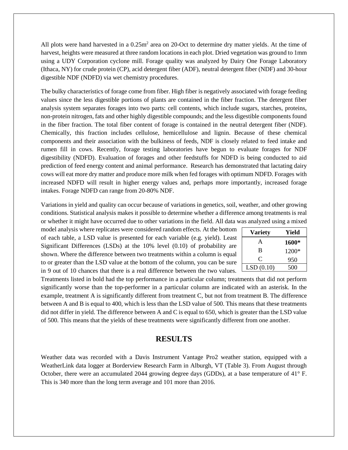All plots were hand harvested in a  $0.25m<sup>2</sup>$  area on 20-Oct to determine dry matter yields. At the time of harvest, heights were measured at three random locations in each plot. Dried vegetation was ground to 1mm using a UDY Corporation cyclone mill. Forage quality was analyzed by Dairy One Forage Laboratory (Ithaca, NY) for crude protein (CP), acid detergent fiber (ADF), neutral detergent fiber (NDF) and 30-hour digestible NDF (NDFD) via wet chemistry procedures.

The bulky characteristics of forage come from fiber. High fiber is negatively associated with forage feeding values since the less digestible portions of plants are contained in the fiber fraction. The detergent fiber analysis system separates forages into two parts: cell contents, which include sugars, starches, proteins, non-protein nitrogen, fats and other highly digestible compounds; and the less digestible components found in the fiber fraction. The total fiber content of forage is contained in the neutral detergent fiber (NDF). Chemically, this fraction includes cellulose, hemicellulose and lignin. Because of these chemical components and their association with the bulkiness of feeds, NDF is closely related to feed intake and rumen fill in cows. Recently, forage testing laboratories have begun to evaluate forages for NDF digestibility (NDFD). Evaluation of forages and other feedstuffs for NDFD is being conducted to aid prediction of feed energy content and animal performance. Research has demonstrated that lactating dairy cows will eat more dry matter and produce more milk when fed forages with optimum NDFD. Forages with increased NDFD will result in higher energy values and, perhaps more importantly, increased forage intakes. Forage NDFD can range from 20-80% NDF.

Variations in yield and quality can occur because of variations in genetics, soil, weather, and other growing conditions. Statistical analysis makes it possible to determine whether a difference among treatments is real or whether it might have occurred due to other variations in the field. All data was analyzed using a mixed

model analysis where replicates were considered random effects. At the bottom of each table, a LSD value is presented for each variable (e.g. yield). Least Significant Differences (LSDs) at the 10% level (0.10) of probability are shown. Where the difference between two treatments within a column is equal to or greater than the LSD value at the bottom of the column, you can be sure in 9 out of 10 chances that there is a real difference between the two values.

| <b>Variety</b> | Yield |
|----------------|-------|
| A              | 1600* |
| B              | 1200* |
| C              | 950   |
| LSD(0.10)      | 500   |

Treatments listed in bold had the top performance in a particular column; treatments that did not perform significantly worse than the top-performer in a particular column are indicated with an asterisk. In the example, treatment A is significantly different from treatment C, but not from treatment B. The difference between A and B is equal to 400, which is less than the LSD value of 500. This means that these treatments did not differ in yield. The difference between A and C is equal to 650, which is greater than the LSD value of 500. This means that the yields of these treatments were significantly different from one another.

### **RESULTS**

Weather data was recorded with a Davis Instrument Vantage Pro2 weather station, equipped with a WeatherLink data logger at Borderview Research Farm in Alburgh, VT (Table 3). From August through October, there were an accumulated 2044 growing degree days (GDDs), at a base temperature of 41° F. This is 340 more than the long term average and 101 more than 2016.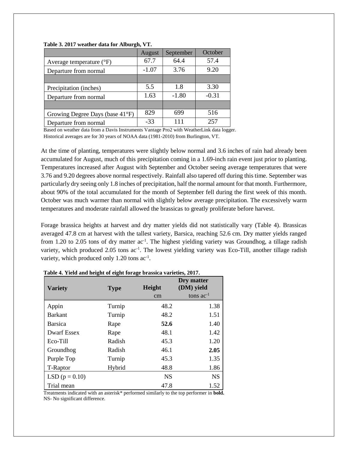|                                     | August  | September | October |
|-------------------------------------|---------|-----------|---------|
| Average temperature $({}^{\circ}F)$ | 67.7    | 64.4      | 57.4    |
| Departure from normal               | $-1.07$ | 3.76      | 9.20    |
|                                     |         |           |         |
| Precipitation (inches)              | 5.5     | 1.8       | 3.30    |
| Departure from normal               | 1.63    | $-1.80$   | $-0.31$ |
|                                     |         |           |         |
| Growing Degree Days (base 41°F)     | 829     | 699       | 516     |
| Departure from normal               | $-33$   | 111       | 257     |

#### **Table 3. 2017 weather data for Alburgh, VT.**

Based on weather data from a Davis Instruments Vantage Pro2 with WeatherLink data logger. Historical averages are for 30 years of NOAA data (1981-2010) from Burlington, VT.

At the time of planting, temperatures were slightly below normal and 3.6 inches of rain had already been accumulated for August, much of this precipitation coming in a 1.69-inch rain event just prior to planting. Temperatures increased after August with September and October seeing average temperatures that were 3.76 and 9.20 degrees above normal respectively. Rainfall also tapered off during this time. September was particularly dry seeing only 1.8 inches of precipitation, half the normal amount for that month. Furthermore, about 90% of the total accumulated for the month of September fell during the first week of this month. October was much warmer than normal with slightly below average precipitation. The excessively warm temperatures and moderate rainfall allowed the brassicas to greatly proliferate before harvest.

Forage brassica heights at harvest and dry matter yields did not statistically vary (Table 4). Brassicas averaged 47.8 cm at harvest with the tallest variety, Barsica, reaching 52.6 cm. Dry matter yields ranged from 1.20 to 2.05 tons of dry matter ac<sup>-1</sup>. The highest yielding variety was Groundhog, a tillage radish variety, which produced 2.05 tons ac<sup>-1</sup>. The lowest yielding variety was Eco-Till, another tillage radish variety, which produced only  $1.20$  tons ac<sup>-1</sup>.

| <b>Variety</b>     | <b>Type</b> | <b>Height</b><br>cm | Dry matter<br>(DM) yield<br>tons $ac^{-1}$ |
|--------------------|-------------|---------------------|--------------------------------------------|
| Appin              | Turnip      | 48.2                | 1.38                                       |
| <b>Barkant</b>     | Turnip      | 48.2                | 1.51                                       |
| <b>Barsica</b>     | Rape        | 52.6                | 1.40                                       |
| <b>Dwarf Essex</b> | Rape        | 48.1                | 1.42                                       |
| Eco-Till           | Radish      | 45.3                | 1.20                                       |
| Groundhog          | Radish      | 46.1                | 2.05                                       |
| Purple Top         | Turnip      | 45.3                | 1.35                                       |
| T-Raptor           | Hybrid      | 48.8                | 1.86                                       |
| LSD $(p = 0.10)$   |             | <b>NS</b>           | <b>NS</b>                                  |
| Trial mean         |             | 47.8                | 1.52                                       |

| Table 4. Yield and height of eight forage brassica varieties, 2017. |
|---------------------------------------------------------------------|
|---------------------------------------------------------------------|

Treatments indicated with an asterisk\* performed similarly to the top performer in **bold.** NS- No significant difference.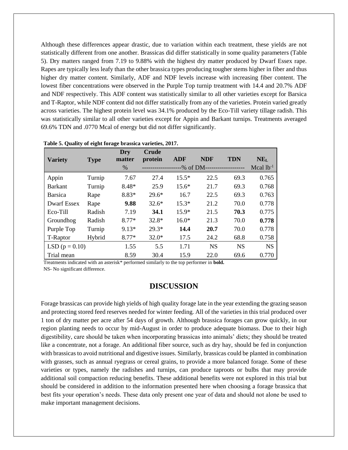Although these differences appear drastic, due to variation within each treatment, these yields are not statistically different from one another. Brassicas did differ statistically in some quality parameters (Table 5). Dry matters ranged from 7.19 to 9.88% with the highest dry matter produced by Dwarf Essex rape. Rapes are typically less leafy than the other brassica types producing tougher stems higher in fiber and thus higher dry matter content. Similarly, ADF and NDF levels increase with increasing fiber content. The lowest fiber concentrations were observed in the Purple Top turnip treatment with 14.4 and 20.7% ADF and NDF respectively. This ADF content was statistically similar to all other varieties except for Barsica and T-Raptor, while NDF content did not differ statistically from any of the varieties. Protein varied greatly across varieties. The highest protein level was 34.1% produced by the Eco-Till variety tillage radish. This was statistically similar to all other varieties except for Appin and Barkant turnips. Treatments averaged 69.6% TDN and .0770 Mcal of energy but did not differ significantly.

| <b>Variety</b>     |             | Dry<br>matter | <b>Crude</b><br>protein | <b>ADF</b> | <b>NDF</b> | TDN       | NE <sub>L</sub> |
|--------------------|-------------|---------------|-------------------------|------------|------------|-----------|-----------------|
|                    | <b>Type</b> | %             |                         | -% of DM-  |            |           | Mcal $lb^{-1}$  |
| Appin              | Turnip      | 7.67          | 27.4                    | $15.5*$    | 22.5       | 69.3      | 0.765           |
| <b>Barkant</b>     | Turnip      | 8.48*         | 25.9                    | $15.6*$    | 21.7       | 69.3      | 0.768           |
| <b>Barsica</b>     | Rape        | $8.83*$       | $29.6*$                 | 16.7       | 22.5       | 69.3      | 0.763           |
| <b>Dwarf Essex</b> | Rape        | 9.88          | $32.6*$                 | $15.3*$    | 21.2       | 70.0      | 0.778           |
| Eco-Till           | Radish      | 7.19          | 34.1                    | $15.9*$    | 21.5       | 70.3      | 0.775           |
| Groundhog          | Radish      | $8.77*$       | $32.8*$                 | $16.0*$    | 21.3       | 70.0      | 0.778           |
| Purple Top         | Turnip      | $9.13*$       | $29.3*$                 | 14.4       | 20.7       | 70.0      | 0.778           |
| T-Raptor           | Hybrid      | $8.77*$       | $32.0*$                 | 17.5       | 24.2       | 68.8      | 0.758           |
| LSD $(p = 0.10)$   |             | 1.55          | 5.5                     | 1.71       | <b>NS</b>  | <b>NS</b> | <b>NS</b>       |
| Trial mean         |             | 8.59          | 30.4                    | 15.9       | 22.0       | 69.6      | 0.770           |

|  |  | Table 5. Quality of eight forage brassica varieties, 2017. |  |
|--|--|------------------------------------------------------------|--|
|  |  |                                                            |  |

Treatments indicated with an asterisk\* performed similarly to the top performer in **bold.** NS- No significant difference.

#### **DISCUSSION**

Forage brassicas can provide high yields of high quality forage late in the year extending the grazing season and protecting stored feed reserves needed for winter feeding. All of the varieties in this trial produced over 1 ton of dry matter per acre after 54 days of growth. Although brassica forages can grow quickly, in our region planting needs to occur by mid-August in order to produce adequate biomass. Due to their high digestibility, care should be taken when incorporating brassicas into animals' diets; they should be treated like a concentrate, not a forage. An additional fiber source, such as dry hay, should be fed in conjunction with brassicas to avoid nutritional and digestive issues. Similarly, brassicas could be planted in combination with grasses, such as annual ryegrass or cereal grains, to provide a more balanced forage. Some of these varieties or types, namely the radishes and turnips, can produce taproots or bulbs that may provide additional soil compaction reducing benefits. These additional benefits were not explored in this trial but should be considered in addition to the information presented here when choosing a forage brassica that best fits your operation's needs. These data only present one year of data and should not alone be used to make important management decisions.